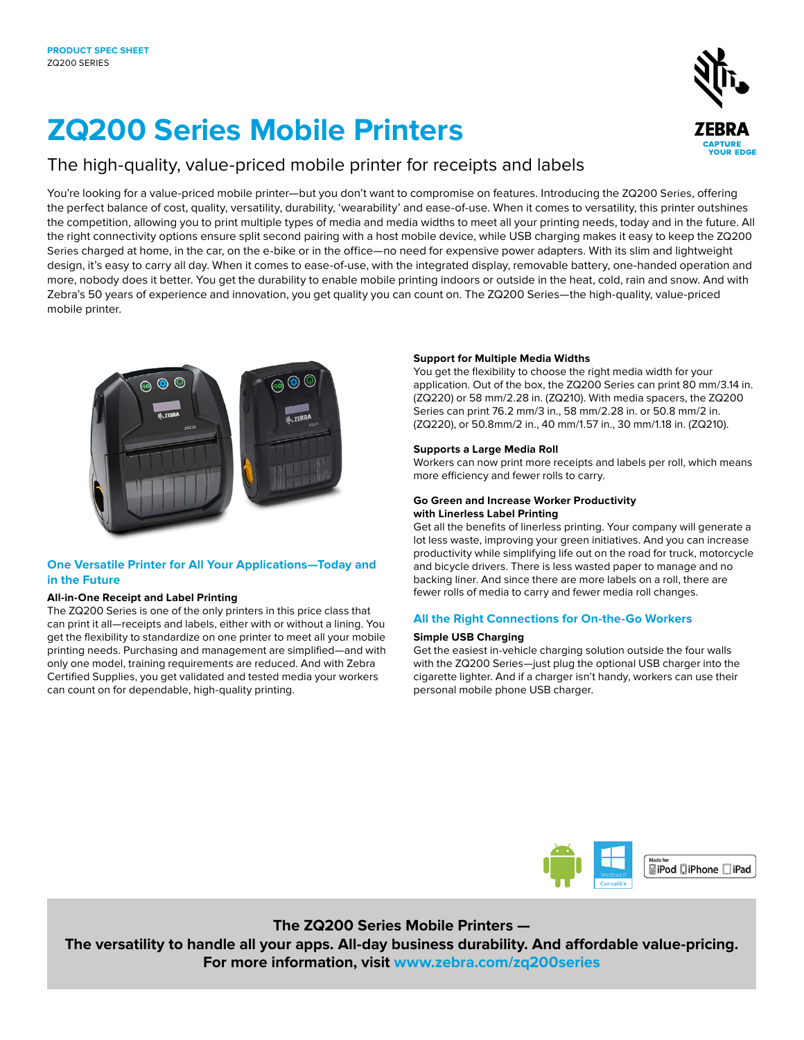# **ZQ200 Series Mobile Printers**

### The high-quality, value-priced mobile printer for receipts and labels

You're looking for a value-priced mobile printer—but you don't want to compromise on features. Introducing the ZQ200 Series, offering the perfect balance of cost, quality, versatility, durability, 'wearability' and ease-of-use. When it comes to versatility, this printer outshines the competition, allowing you to print multiple types of media and media widths to meet all your printing needs, today and in the future. All the right connectivity options ensure split second pairing with a host mobile device, while USB charging makes it easy to keep the ZQ200 Series charged at home, in the car, on the e-bike or in the office—no need for expensive power adapters. With its slim and lightweight design, it's easy to carry all day. When it comes to ease-of-use, with the integrated display, removable battery, one-handed operation and more, nobody does it better. You get the durability to enable mobile printing indoors or outside in the heat, cold, rain and snow. And with Zebra's 50 years of experience and innovation, you get quality you can count on. The ZQ200 Series—the high-quality, value-priced mobile printer.



#### **One Versatile Printer for All Your Applications—Today and in the Future**

#### **All-in-One Receipt and Label Printing**

The ZQ200 Series is one of the only printers in this price class that can print it all—receipts and labels, either with or without a lining. You get the flexibility to standardize on one printer to meet all your mobile printing needs. Purchasing and management are simplified—and with only one model, training requirements are reduced. And with Zebra Certified Supplies, you get validated and tested media your workers can count on for dependable, high-quality printing.

#### **Support for Multiple Media Widths**

You get the flexibility to choose the right media width for your application. Out of the box, the ZQ200 Series can print 80 mm/3.14 in. (ZQ220) or 58 mm/2.28 in. (ZQ210). With media spacers, the ZQ200 Series can print 76.2 mm/3 in., 58 mm/2.28 in. or 50.8 mm/2 in. (ZQ220), or 50.8mm/2 in., 40 mm/1.57 in., 30 mm/1.18 in. (ZQ210).

#### **Supports a Large Media Roll**

Workers can now print more receipts and labels per roll, which means more efficiency and fewer rolls to carry.

#### **Go Green and Increase Worker Productivity with Linerless Label Printing**

Get all the benefits of linerless printing. Your company will generate a lot less waste, improving your green initiatives. And you can increase productivity while simplifying life out on the road for truck, motorcycle and bicycle drivers. There is less wasted paper to manage and no backing liner. And since there are more labels on a roll, there are fewer rolls of media to carry and fewer media roll changes.

#### **All the Right Connections for On-the-Go Workers**

#### **Simple USB Charging**

Get the easiest in-vehicle charging solution outside the four walls with the ZQ200 Series—just plug the optional USB charger into the cigarette lighter. And if a charger isn't handy, workers can use their personal mobile phone USB charger.



**The ZQ200 Series Mobile Printers — The versatility to handle all your apps. All-day business durability. And affordable value-pricing. For more information, visit [www.zebra.com](http://www.zebra.com/zq220)/zq200series**

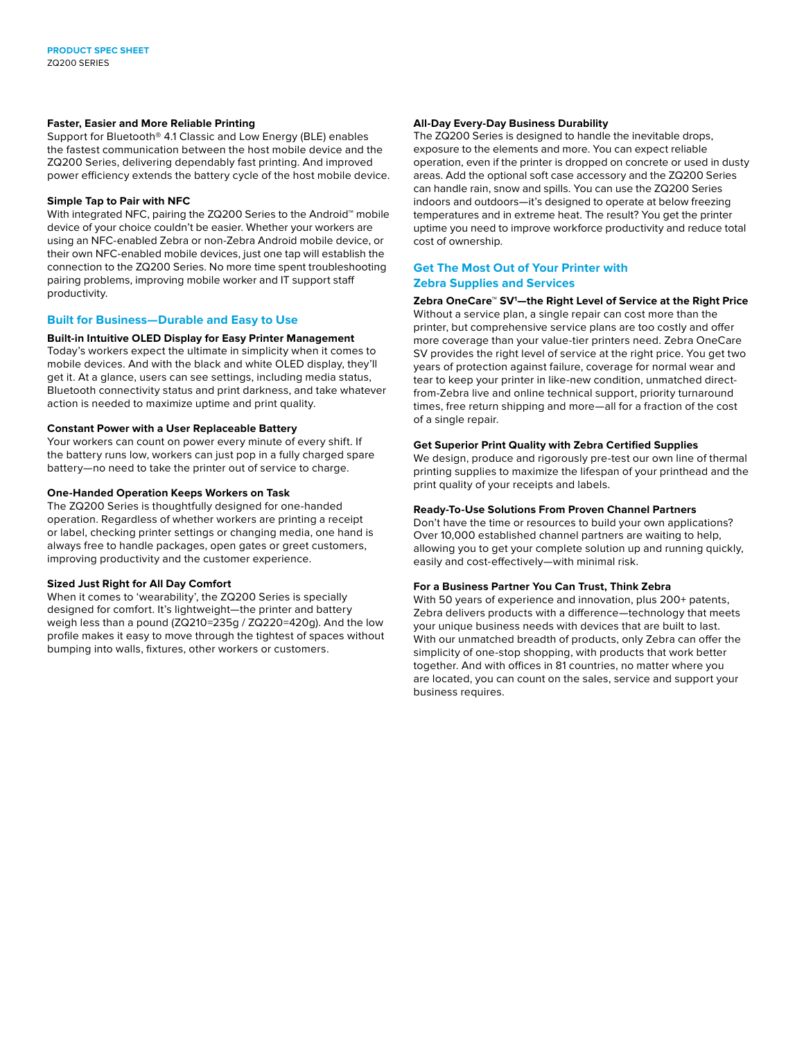#### **Faster, Easier and More Reliable Printing**

Support for Bluetooth® 4.1 Classic and Low Energy (BLE) enables the fastest communication between the host mobile device and the ZQ200 Series, delivering dependably fast printing. And improved power efficiency extends the battery cycle of the host mobile device.

#### **Simple Tap to Pair with NFC**

With integrated NFC, pairing the ZQ200 Series to the Android™ mobile device of your choice couldn't be easier. Whether your workers are using an NFC-enabled Zebra or non-Zebra Android mobile device, or their own NFC-enabled mobile devices, just one tap will establish the connection to the ZQ200 Series. No more time spent troubleshooting pairing problems, improving mobile worker and IT support staff productivity.

#### **Built for Business—Durable and Easy to Use**

#### **Built-in Intuitive OLED Display for Easy Printer Management**

Today's workers expect the ultimate in simplicity when it comes to mobile devices. And with the black and white OLED display, they'll get it. At a glance, users can see settings, including media status, Bluetooth connectivity status and print darkness, and take whatever action is needed to maximize uptime and print quality.

#### **Constant Power with a User Replaceable Battery**

Your workers can count on power every minute of every shift. If the battery runs low, workers can just pop in a fully charged spare battery—no need to take the printer out of service to charge.

#### **One-Handed Operation Keeps Workers on Task**

The ZQ200 Series is thoughtfully designed for one-handed operation. Regardless of whether workers are printing a receipt or label, checking printer settings or changing media, one hand is always free to handle packages, open gates or greet customers, improving productivity and the customer experience.

#### **Sized Just Right for All Day Comfort**

When it comes to 'wearability', the ZQ200 Series is specially designed for comfort. It's lightweight—the printer and battery weigh less than a pound (ZQ210=235g / ZQ220=420g). And the low profile makes it easy to move through the tightest of spaces without bumping into walls, fixtures, other workers or customers.

#### **All-Day Every-Day Business Durability**

The ZQ200 Series is designed to handle the inevitable drops, exposure to the elements and more. You can expect reliable operation, even if the printer is dropped on concrete or used in dusty areas. Add the optional soft case accessory and the ZQ200 Series can handle rain, snow and spills. You can use the ZQ200 Series indoors and outdoors—it's designed to operate at below freezing temperatures and in extreme heat. The result? You get the printer uptime you need to improve workforce productivity and reduce total cost of ownership.

#### **Get The Most Out of Your Printer with Zebra Supplies and Services**

**Zebra OneCare™ SV1 —the Right Level of Service at the Right Price** Without a service plan, a single repair can cost more than the printer, but comprehensive service plans are too costly and offer more coverage than your value-tier printers need. Zebra OneCare SV provides the right level of service at the right price. You get two years of protection against failure, coverage for normal wear and tear to keep your printer in like-new condition, unmatched directfrom-Zebra live and online technical support, priority turnaround times, free return shipping and more—all for a fraction of the cost of a single repair.

#### **Get Superior Print Quality with Zebra Certified Supplies**

We design, produce and rigorously pre-test our own line of thermal printing supplies to maximize the lifespan of your printhead and the print quality of your receipts and labels.

#### **Ready-To-Use Solutions From Proven Channel Partners**

Don't have the time or resources to build your own applications? Over 10,000 established channel partners are waiting to help, allowing you to get your complete solution up and running quickly, easily and cost-effectively—with minimal risk.

#### **For a Business Partner You Can Trust, Think Zebra**

With 50 years of experience and innovation, plus 200+ patents, Zebra delivers products with a difference—technology that meets your unique business needs with devices that are built to last. With our unmatched breadth of products, only Zebra can offer the simplicity of one-stop shopping, with products that work better together. And with offices in 81 countries, no matter where you are located, you can count on the sales, service and support your business requires.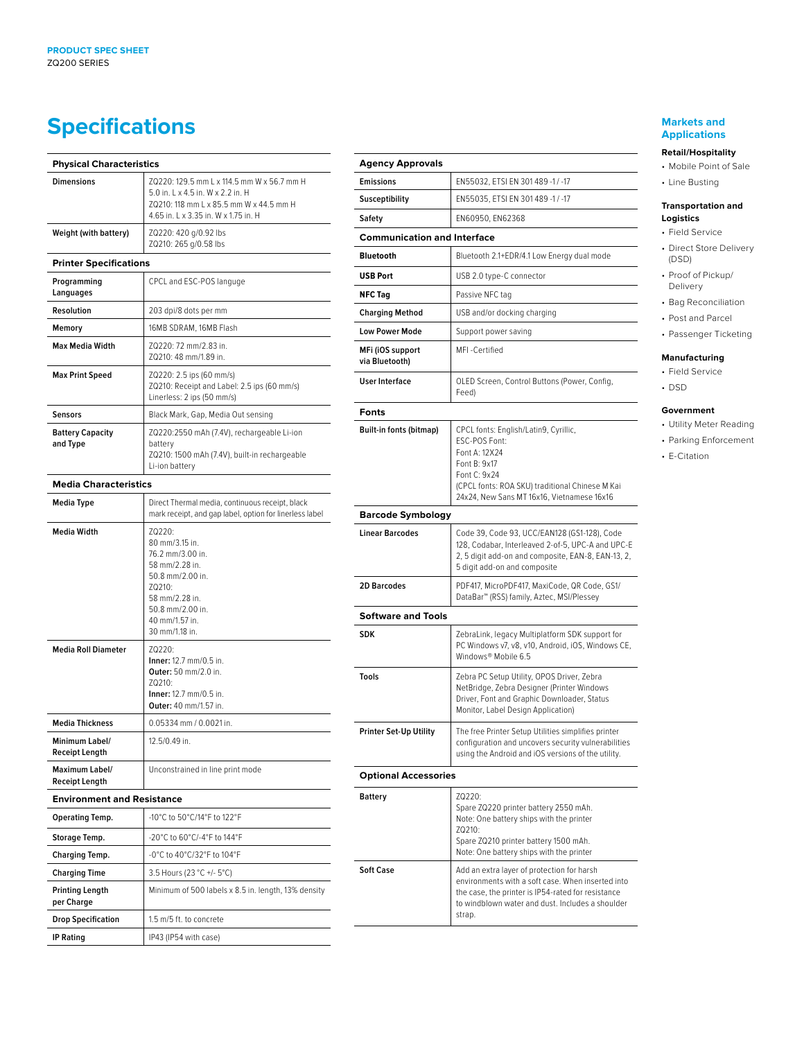## **Specifications**

| <b>Physical Characteristics</b>         |                                                                                                                                                                        |  |
|-----------------------------------------|------------------------------------------------------------------------------------------------------------------------------------------------------------------------|--|
| <b>Dimensions</b>                       | ZQ220: 129.5 mm L x 114.5 mm W x 56.7 mm H<br>5.0 in. 1 x 4.5 in. W x 2.2 in. H<br>ZQ210: 118 mm L x 85.5 mm W x 44.5 mm H<br>4.65 in. L x 3.35 in. W x 1.75 in. H     |  |
| Weight (with battery)                   | ZQ220: 420 g/0.92 lbs<br>ZQ210: 265 g/0.58 lbs                                                                                                                         |  |
| <b>Printer Specifications</b>           |                                                                                                                                                                        |  |
| Programming<br>Languages                | CPCL and ESC-POS languge                                                                                                                                               |  |
| <b>Resolution</b>                       | 203 dpi/8 dots per mm                                                                                                                                                  |  |
| Memory                                  | 16MB SDRAM, 16MB Flash                                                                                                                                                 |  |
| <b>Max Media Width</b>                  | ZQ220: 72 mm/2.83 in.<br>ZQ210: 48 mm/1.89 in.                                                                                                                         |  |
| <b>Max Print Speed</b>                  | ZQ220: 2.5 ips (60 mm/s)<br>ZQ210: Receipt and Label: 2.5 ips (60 mm/s)<br>Linerless: 2 ips (50 mm/s)                                                                  |  |
| <b>Sensors</b>                          | Black Mark, Gap, Media Out sensing                                                                                                                                     |  |
| <b>Battery Capacity</b><br>and Type     | ZQ220:2550 mAh (7.4V), rechargeable Li-ion<br>battery<br>ZQ210: 1500 mAh (7.4V), built-in rechargeable<br>Li-ion battery                                               |  |
| <b>Media Characteristics</b>            |                                                                                                                                                                        |  |
| <b>Media Type</b>                       | Direct Thermal media, continuous receipt, black<br>mark receipt, and gap label, option for linerless label                                                             |  |
| <b>Media Width</b>                      | ZQ220:<br>80 mm/3.15 in.<br>76.2 mm/3.00 in.<br>58 mm/2.28 in.<br>50.8 mm/2.00 in.<br>ZQ210:<br>58 mm/2.28 in.<br>50.8 mm/2.00 in.<br>40 mm/1.57 in.<br>30 mm/1.18 in. |  |
| <b>Media Roll Diameter</b>              | ZQ220:<br>Inner: 12.7 mm/0.5 in.<br>Outer: 50 mm/2.0 in.<br>$70210 -$<br>Inner: 12.7 mm/0.5 in.<br>Outer: 40 mm/1.57 in.                                               |  |
| <b>Media Thickness</b>                  | 0.05334 mm / 0.0021 in.                                                                                                                                                |  |
| Minimum Label/<br><b>Receipt Length</b> | 12.5/0.49 in.                                                                                                                                                          |  |
| Maximum Label/<br><b>Receipt Length</b> | Unconstrained in line print mode                                                                                                                                       |  |
| <b>Environment and Resistance</b>       |                                                                                                                                                                        |  |
| Operating Temp.                         | -10°C to 50°C/14°F to 122°F                                                                                                                                            |  |
| Storage Temp.                           | -20°C to 60°C/-4°F to 144°F                                                                                                                                            |  |
| <b>Charging Temp.</b>                   | -0°C to 40°C/32°F to 104°F                                                                                                                                             |  |
| <b>Charging Time</b>                    | 3.5 Hours (23 °C +/- 5°C)                                                                                                                                              |  |
| <b>Printing Length</b><br>per Charge    | Minimum of 500 labels x 8.5 in. length, 13% density                                                                                                                    |  |
| <b>Drop Specification</b>               | 1.5 m/5 ft. to concrete                                                                                                                                                |  |
| <b>IP Rating</b>                        | IP43 (IP54 with case)                                                                                                                                                  |  |

#### **Agency Approvals Emissions** EN55032, ETSI EN 301 489 -1 / -17 **Susceptibility** EN55035, ETSI EN 301 489 -1 / -17 **Safety** EN60950, EN62368 **Communication and Interface Bluetooth Bluetooth 2.1+EDR/4.1 Low Energy dual mode USB Port** USB 2.0 type-C connector **NFC Tag Passive NFC tag Charging Method** USB and/or docking charging **Low Power Mode** Support power saving **MFi (iOS support via Bluetooth)** MFI -Certified **User Interface** | OLED Screen, Control Buttons (Power, Config, Feed) **Fonts Built-in fonts (bitmap)** CPCL fonts: English/Latin9, Cyrillic, ESC-POS Font: Font A: 12X24 Font B: 9x17 Font C: 9x24 (CPCL fonts: ROA SKU) traditional Chinese M Kai 24x24, New Sans MT 16x16, Vietnamese 16x16 **Barcode Symbology** Linear Barcodes (Code 39, Code 93, UCC/EAN128 (GS1-128), Code 128, Codabar, Interleaved 2-of-5, UPC-A and UPC-E 2, 5 digit add-on and composite, EAN-8, EAN-13, 2, 5 digit add-on and composite 2D Barcodes **PDF417, MicroPDF417, MaxiCode, QR Code, GS1/** DataBar™ (RSS) family, Aztec, MSI/Plessey **Software and Tools SDK** ZebraLink, legacy Multiplatform SDK support for PC Windows v7, v8, v10, Android, iOS, Windows CE, Windows® Mobile 6.5 **Tools** Zebra PC Setup Utility, OPOS Driver, Zebra NetBridge, Zebra Designer (Printer Windows Driver, Font and Graphic Downloader, Status Monitor, Label Design Application) **Printer Set-Up Utility** The free Printer Setup Utilities simplifies printer configuration and uncovers security vulnerabilities using the Android and iOS versions of the utility. **Optional Accessories Battery** ZQ220: Spare ZQ220 printer battery 2550 mAh. Note: One battery ships with the printer ZQ210: Spare ZQ210 printer battery 1500 mAh. Note: One battery ships with the printer **Soft Case** Add an extra layer of protection for harsh environments with a soft case. When inserted into the case, the printer is IP54-rated for resistance to windblown water and dust. Includes a shoulder strap.

#### **Markets and Applications**

#### **Retail/Hospitality**

- Mobile Point of Sale
- Line Busting

#### **Transportation and Logistics**

- Field Service
- Direct Store Delivery (DSD)
- Proof of Pickup/ Delivery
- Bag Reconciliation
	- Post and Parcel
	- Passenger Ticketing

#### **Manufacturing**

- Field Service
- DSD

#### **Government**

- Utility Meter Reading
- Parking Enforcement
- E-Citation